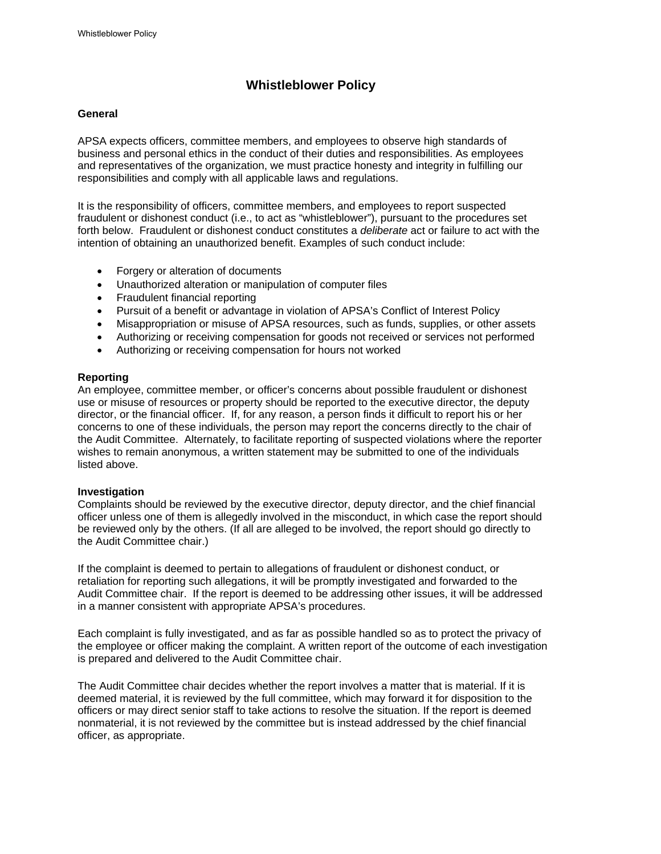# **Whistleblower Policy**

## **General**

APSA expects officers, committee members, and employees to observe high standards of business and personal ethics in the conduct of their duties and responsibilities. As employees and representatives of the organization, we must practice honesty and integrity in fulfilling our responsibilities and comply with all applicable laws and regulations.

It is the responsibility of officers, committee members, and employees to report suspected fraudulent or dishonest conduct (i.e., to act as "whistleblower"), pursuant to the procedures set forth below. Fraudulent or dishonest conduct constitutes a *deliberate* act or failure to act with the intention of obtaining an unauthorized benefit. Examples of such conduct include:

- Forgery or alteration of documents
- Unauthorized alteration or manipulation of computer files
- Fraudulent financial reporting
- Pursuit of a benefit or advantage in violation of APSA's Conflict of Interest Policy
- Misappropriation or misuse of APSA resources, such as funds, supplies, or other assets
- Authorizing or receiving compensation for goods not received or services not performed
- Authorizing or receiving compensation for hours not worked

### **Reporting**

An employee, committee member, or officer's concerns about possible fraudulent or dishonest use or misuse of resources or property should be reported to the executive director, the deputy director, or the financial officer. If, for any reason, a person finds it difficult to report his or her concerns to one of these individuals, the person may report the concerns directly to the chair of the Audit Committee. Alternately, to facilitate reporting of suspected violations where the reporter wishes to remain anonymous, a written statement may be submitted to one of the individuals listed above.

# **Investigation**

Complaints should be reviewed by the executive director, deputy director, and the chief financial officer unless one of them is allegedly involved in the misconduct, in which case the report should be reviewed only by the others. (If all are alleged to be involved, the report should go directly to the Audit Committee chair.)

If the complaint is deemed to pertain to allegations of fraudulent or dishonest conduct, or retaliation for reporting such allegations, it will be promptly investigated and forwarded to the Audit Committee chair. If the report is deemed to be addressing other issues, it will be addressed in a manner consistent with appropriate APSA's procedures.

Each complaint is fully investigated, and as far as possible handled so as to protect the privacy of the employee or officer making the complaint. A written report of the outcome of each investigation is prepared and delivered to the Audit Committee chair.

The Audit Committee chair decides whether the report involves a matter that is material. If it is deemed material, it is reviewed by the full committee, which may forward it for disposition to the officers or may direct senior staff to take actions to resolve the situation. If the report is deemed nonmaterial, it is not reviewed by the committee but is instead addressed by the chief financial officer, as appropriate.